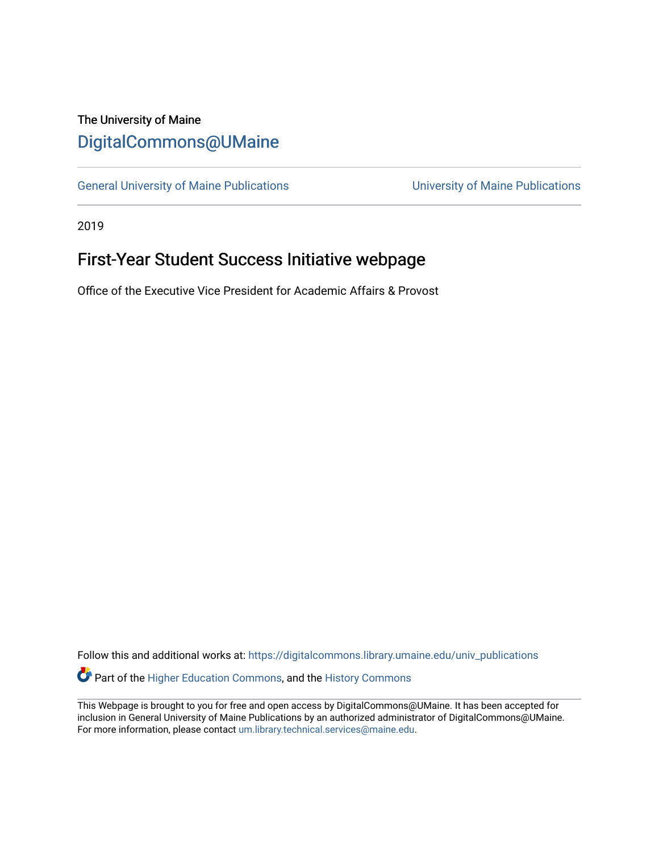## The University of Maine [DigitalCommons@UMaine](https://digitalcommons.library.umaine.edu/)

[General University of Maine Publications](https://digitalcommons.library.umaine.edu/univ_publications) [University of Maine Publications](https://digitalcommons.library.umaine.edu/umaine_publications) 

2019

## First-Year Student Success Initiative webpage

Office of the Executive Vice President for Academic Affairs & Provost

Follow this and additional works at: [https://digitalcommons.library.umaine.edu/univ\\_publications](https://digitalcommons.library.umaine.edu/univ_publications?utm_source=digitalcommons.library.umaine.edu%2Funiv_publications%2F1972&utm_medium=PDF&utm_campaign=PDFCoverPages)  Part of the [Higher Education Commons,](http://network.bepress.com/hgg/discipline/1245?utm_source=digitalcommons.library.umaine.edu%2Funiv_publications%2F1972&utm_medium=PDF&utm_campaign=PDFCoverPages) and the [History Commons](http://network.bepress.com/hgg/discipline/489?utm_source=digitalcommons.library.umaine.edu%2Funiv_publications%2F1972&utm_medium=PDF&utm_campaign=PDFCoverPages)

This Webpage is brought to you for free and open access by DigitalCommons@UMaine. It has been accepted for inclusion in General University of Maine Publications by an authorized administrator of DigitalCommons@UMaine. For more information, please contact [um.library.technical.services@maine.edu](mailto:um.library.technical.services@maine.edu).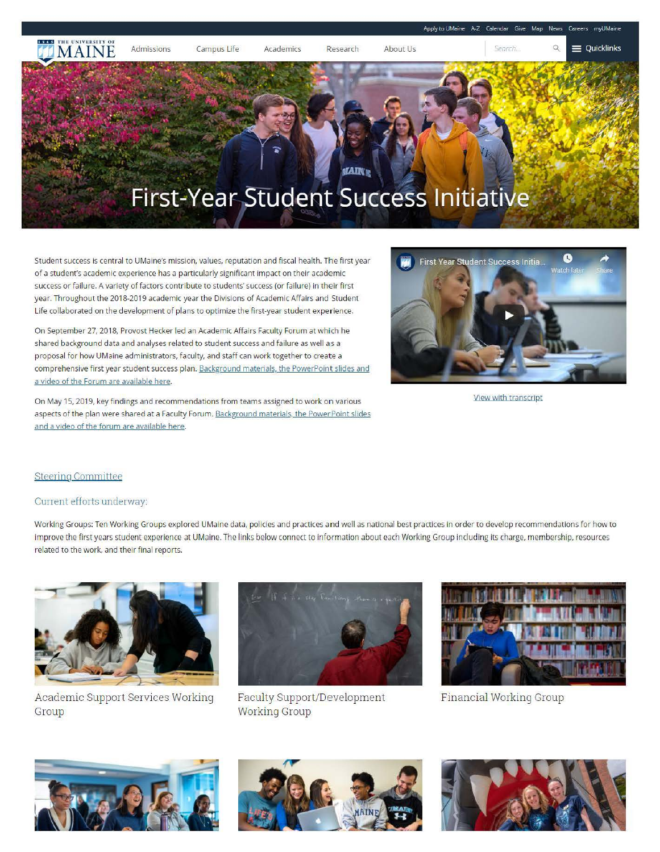

Student success is central to UMaine's mission, values, reputation and fiscal health. The first year of a student's academic experience has a particularly significant impact on their academic success or failure. A variety of factors contribute to students' success (or failure) in their first year. Throughout the 2018-2019 academic year the Divisions of Academic Affairs and Student Life collaborated on the development of plans to optimize the first-year student experience.

On September 27, 2018, Provost Hecker led an Academic Affairs Faculty Forum at which he shared background data and analyses related to student success and failure as well as a proposal for how UMaine administrators, faculty, and staff can work together to create a comprehensive first year student success plan. Background materials, the PowerPoint slides and a video of the Forum are available here.

On May 15, 2019, key findings and recommendations from teams assigned to work on various aspects of the plan were shared at a Faculty Forum. Background materials, the Power Point slides and a video of the forum are available here.



View with transcript

## Steering Committee

## Current efforts underway:

Working Groups: Ten Working Groups explored UMaine data, policies and practices and well as national best practices in order to develop recommendations for how to improve the first years student experience at UMaine. The links below connect to information about each Working Group including its charge, membership, resources related to the work, and their final reports.



Academic Support Services Working Group



Faculty Support/Development Working Group



Financial Working Group